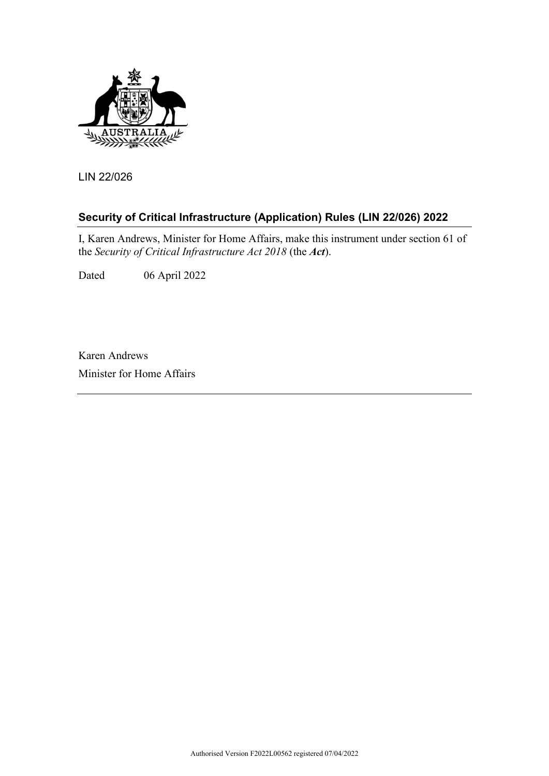

LIN 22/026

# **Security of Critical Infrastructure (Application) Rules (LIN 22/026) 2022**

I, Karen Andrews, Minister for Home Affairs, make this instrument under section 61 of the *Security of Critical Infrastructure Act 2018* (the *Act*).

Dated 06 April 2022

Karen Andrews Minister for Home Affairs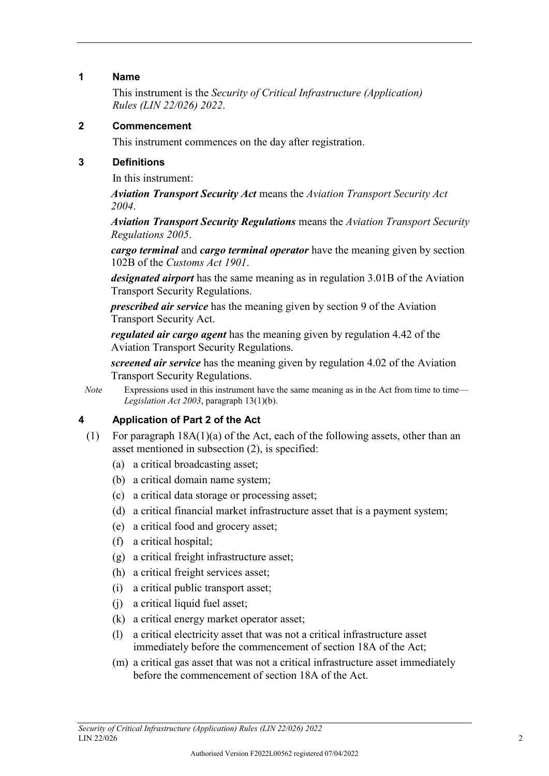#### **1 Name**

This instrument is the *Security of Critical Infrastructure (Application) Rules (LIN 22/026) 2022*.

#### **2 Commencement**

This instrument commences on the day after registration.

#### **3 Definitions**

In this instrument:

*Aviation Transport Security Act* means the *Aviation Transport Security Act 2004*.

*Aviation Transport Security Regulations* means the *Aviation Transport Security Regulations 2005*.

*cargo terminal* and *cargo terminal operator* have the meaning given by section 102B of the *Customs Act 1901*.

*designated airport* has the same meaning as in regulation 3.01B of the Aviation Transport Security Regulations.

*prescribed air service* has the meaning given by section 9 of the Aviation Transport Security Act.

*regulated air cargo agent* has the meaning given by regulation 4.42 of the Aviation Transport Security Regulations.

*screened air service* has the meaning given by regulation 4.02 of the Aviation Transport Security Regulations.

*Note* Expressions used in this instrument have the same meaning as in the Act from time to time— *Legislation Act 2003*, paragraph 13(1)(b).

## **4 Application of Part 2 of the Act**

- (1) For paragraph 18A(1)(a) of the Act, each of the following assets, other than an asset mentioned in subsection (2), is specified:
	- (a) a critical broadcasting asset;
	- (b) a critical domain name system;
	- (c) a critical data storage or processing asset;
	- (d) a critical financial market infrastructure asset that is a payment system;
	- (e) a critical food and grocery asset;
	- (f) a critical hospital;
	- (g) a critical freight infrastructure asset;
	- (h) a critical freight services asset;
	- (i) a critical public transport asset;
	- (j) a critical liquid fuel asset;
	- (k) a critical energy market operator asset;
	- (l) a critical electricity asset that was not a critical infrastructure asset immediately before the commencement of section 18A of the Act;
	- (m) a critical gas asset that was not a critical infrastructure asset immediately before the commencement of section 18A of the Act.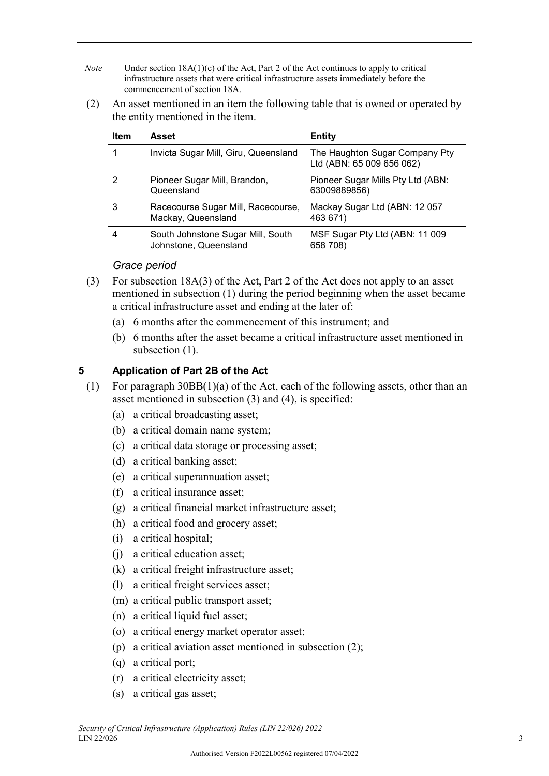- *Note* Under section 18A(1)(c) of the Act, Part 2 of the Act continues to apply to critical infrastructure assets that were critical infrastructure assets immediately before the commencement of section 18A.
- (2) An asset mentioned in an item the following table that is owned or operated by the entity mentioned in the item.

| <b>Item</b> | Asset                                                      | <b>Entity</b>                                               |
|-------------|------------------------------------------------------------|-------------------------------------------------------------|
|             | Invicta Sugar Mill, Giru, Queensland                       | The Haughton Sugar Company Pty<br>Ltd (ABN: 65 009 656 062) |
|             | Pioneer Sugar Mill, Brandon,<br>Queensland                 | Pioneer Sugar Mills Pty Ltd (ABN:<br>63009889856)           |
| 3           | Racecourse Sugar Mill, Racecourse,<br>Mackay, Queensland   | Mackay Sugar Ltd (ABN: 12057<br>463 671)                    |
|             | South Johnstone Sugar Mill, South<br>Johnstone, Queensland | MSF Sugar Pty Ltd (ABN: 11 009<br>658 708)                  |

## *Grace period*

- (3) For subsection 18A(3) of the Act, Part 2 of the Act does not apply to an asset mentioned in subsection (1) during the period beginning when the asset became a critical infrastructure asset and ending at the later of:
	- (a) 6 months after the commencement of this instrument; and
	- (b) 6 months after the asset became a critical infrastructure asset mentioned in subsection  $(1)$ .

## **5 Application of Part 2B of the Act**

- (1) For paragraph 30BB(1)(a) of the Act, each of the following assets, other than an asset mentioned in subsection (3) and (4), is specified:
	- (a) a critical broadcasting asset;
	- (b) a critical domain name system;
	- (c) a critical data storage or processing asset;
	- (d) a critical banking asset;
	- (e) a critical superannuation asset;
	- (f) a critical insurance asset;
	- (g) a critical financial market infrastructure asset;
	- (h) a critical food and grocery asset;
	- (i) a critical hospital;
	- (j) a critical education asset;
	- (k) a critical freight infrastructure asset;
	- (l) a critical freight services asset;
	- (m) a critical public transport asset;
	- (n) a critical liquid fuel asset;
	- (o) a critical energy market operator asset;
	- (p) a critical aviation asset mentioned in subsection (2);
	- (q) a critical port;
	- (r) a critical electricity asset;
	- (s) a critical gas asset;